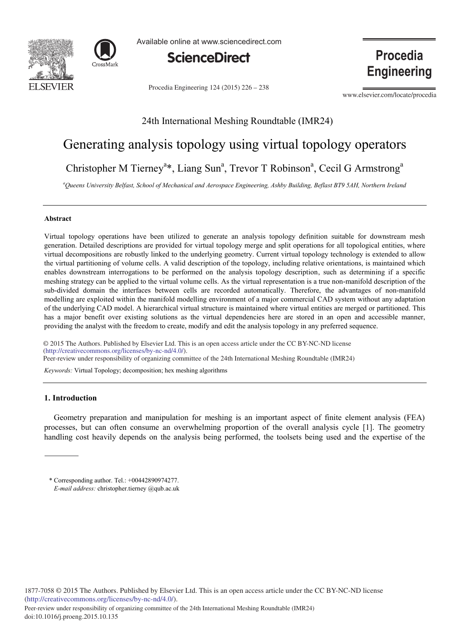



Available online at www.sciencedirect.com



Procedia Engineering 124 (2015) 226 - 238

**Procedia Engineering** 

www.elsevier.com/locate/procedia

# 24th International Meshing Roundtable (IMR24)

# Generating analysis topology using virtual topology operators

Christopher M Tierney<sup>a\*</sup>, Liang Sun<sup>a</sup>, Trevor T Robinson<sup>a</sup>, Cecil G Armstrong<sup>a</sup>

*a Queens University Belfast, School of Mechanical and Aerospace Engineering, Ashby Building, Beflast BT9 5AH, Northern Ireland*

#### **Abstract**

Virtual topology operations have been utilized to generate an analysis topology definition suitable for downstream mesh generation. Detailed descriptions are provided for virtual topology merge and split operations for all topological entities, where virtual decompositions are robustly linked to the underlying geometry. Current virtual topology technology is extended to allow the virtual partitioning of volume cells. A valid description of the topology, including relative orientations, is maintained which enables downstream interrogations to be performed on the analysis topology description, such as determining if a specific meshing strategy can be applied to the virtual volume cells. As the virtual representation is a true non-manifold description of the sub-divided domain the interfaces between cells are recorded automatically. Therefore, the advantages of non-manifold modelling are exploited within the manifold modelling environment of a major commercial CAD system without any adaptation of the underlying CAD model. A hierarchical virtual structure is maintained where virtual entities are merged or partitioned. This has a major benefit over existing solutions as the virtual dependencies here are stored in an open and accessible manner, providing the analyst with the freedom to create, modify and edit the analysis topology in any preferred sequence.

© 2015 The Authors. Published by Elsevier Ltd. © 2015 The Authors. Published by Elsevier Ltd. This is an open access article under the CC BY-NC-ND license (http://creativecommons.org/licenses/by-nc-nd/4.0/).<br>Peer-review under responsibility of organizing committee of the 24th International Meshing Roundtable (IMR24) (http://creativecommons.org/licenses/by-nc-nd/4.0/).

*Keywords:* Virtual Topology; decomposition; hex meshing algorithms

# **1. Introduction**

Geometry preparation and manipulation for meshing is an important aspect of finite element analysis (FEA) processes, but can often consume an overwhelming proportion of the overall analysis cycle [1]. The geometry handling cost heavily depends on the analysis being performed, the toolsets being used and the expertise of the

<sup>\*</sup> Corresponding author. Tel.: +00442890974277. *E-mail address:* christopher.tierney @qub.ac.uk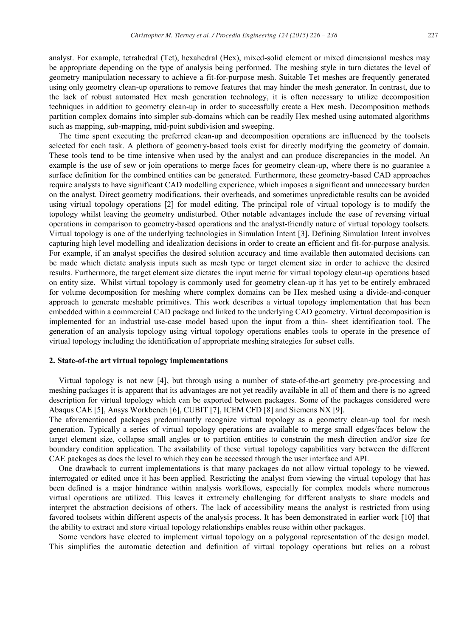analyst. For example, tetrahedral (Tet), hexahedral (Hex), mixed-solid element or mixed dimensional meshes may be appropriate depending on the type of analysis being performed. The meshing style in turn dictates the level of geometry manipulation necessary to achieve a fit-for-purpose mesh. Suitable Tet meshes are frequently generated using only geometry clean-up operations to remove features that may hinder the mesh generator. In contrast, due to the lack of robust automated Hex mesh generation technology, it is often necessary to utilize decomposition techniques in addition to geometry clean-up in order to successfully create a Hex mesh. Decomposition methods partition complex domains into simpler sub-domains which can be readily Hex meshed using automated algorithms such as mapping, sub-mapping, mid-point subdivision and sweeping.

The time spent executing the preferred clean-up and decomposition operations are influenced by the toolsets selected for each task. A plethora of geometry-based tools exist for directly modifying the geometry of domain. These tools tend to be time intensive when used by the analyst and can produce discrepancies in the model. An example is the use of sew or join operations to merge faces for geometry clean-up, where there is no guarantee a surface definition for the combined entities can be generated. Furthermore, these geometry-based CAD approaches require analysts to have significant CAD modelling experience, which imposes a significant and unnecessary burden on the analyst. Direct geometry modifications, their overheads, and sometimes unpredictable results can be avoided using virtual topology operations [2] for model editing. The principal role of virtual topology is to modify the topology whilst leaving the geometry undisturbed. Other notable advantages include the ease of reversing virtual operations in comparison to geometry-based operations and the analyst-friendly nature of virtual topology toolsets. Virtual topology is one of the underlying technologies in Simulation Intent [3]. Defining Simulation Intent involves capturing high level modelling and idealization decisions in order to create an efficient and fit-for-purpose analysis. For example, if an analyst specifies the desired solution accuracy and time available then automated decisions can be made which dictate analysis inputs such as mesh type or target element size in order to achieve the desired results. Furthermore, the target element size dictates the input metric for virtual topology clean-up operations based on entity size. Whilst virtual topology is commonly used for geometry clean-up it has yet to be entirely embraced for volume decomposition for meshing where complex domains can be Hex meshed using a divide-and-conquer approach to generate meshable primitives. This work describes a virtual topology implementation that has been embedded within a commercial CAD package and linked to the underlying CAD geometry. Virtual decomposition is implemented for an industrial use-case model based upon the input from a thin- sheet identification tool. The generation of an analysis topology using virtual topology operations enables tools to operate in the presence of virtual topology including the identification of appropriate meshing strategies for subset cells.

#### **2. State-of-the art virtual topology implementations**

Virtual topology is not new [4], but through using a number of state-of-the-art geometry pre-processing and meshing packages it is apparent that its advantages are not yet readily available in all of them and there is no agreed description for virtual topology which can be exported between packages. Some of the packages considered were Abaqus CAE [5], Ansys Workbench [6], CUBIT [7], ICEM CFD [8] and Siemens NX [9].

The aforementioned packages predominantly recognize virtual topology as a geometry clean-up tool for mesh generation. Typically a series of virtual topology operations are available to merge small edges/faces below the target element size, collapse small angles or to partition entities to constrain the mesh direction and/or size for boundary condition application. The availability of these virtual topology capabilities vary between the different CAE packages as does the level to which they can be accessed through the user interface and API.

One drawback to current implementations is that many packages do not allow virtual topology to be viewed, interrogated or edited once it has been applied. Restricting the analyst from viewing the virtual topology that has been defined is a major hindrance within analysis workflows, especially for complex models where numerous virtual operations are utilized. This leaves it extremely challenging for different analysts to share models and interpret the abstraction decisions of others. The lack of accessibility means the analyst is restricted from using favored toolsets within different aspects of the analysis process. It has been demonstrated in earlier work [10] that the ability to extract and store virtual topology relationships enables reuse within other packages.

Some vendors have elected to implement virtual topology on a polygonal representation of the design model. This simplifies the automatic detection and definition of virtual topology operations but relies on a robust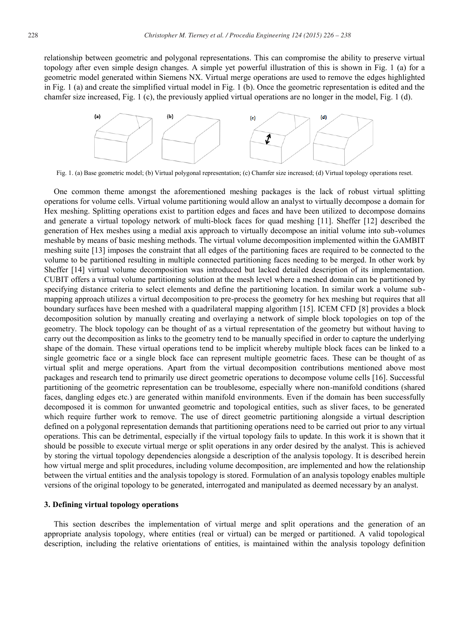relationship between geometric and polygonal representations. This can compromise the ability to preserve virtual topology after even simple design changes. A simple yet powerful illustration of this is shown in Fig. 1 (a) for a geometric model generated within Siemens NX. Virtual merge operations are used to remove the edges highlighted in Fig. 1 (a) and create the simplified virtual model in Fig. 1 (b). Once the geometric representation is edited and the chamfer size increased, Fig. 1 (c), the previously applied virtual operations are no longer in the model, Fig. 1 (d).



Fig. 1. (a) Base geometric model; (b) Virtual polygonal representation; (c) Chamfer size increased; (d) Virtual topology operations reset.

One common theme amongst the aforementioned meshing packages is the lack of robust virtual splitting operations for volume cells. Virtual volume partitioning would allow an analyst to virtually decompose a domain for Hex meshing. Splitting operations exist to partition edges and faces and have been utilized to decompose domains and generate a virtual topology network of multi-block faces for quad meshing [11]. Sheffer [12] described the generation of Hex meshes using a medial axis approach to virtually decompose an initial volume into sub-volumes meshable by means of basic meshing methods. The virtual volume decomposition implemented within the GAMBIT meshing suite [13] imposes the constraint that all edges of the partitioning faces are required to be connected to the volume to be partitioned resulting in multiple connected partitioning faces needing to be merged. In other work by Sheffer [14] virtual volume decomposition was introduced but lacked detailed description of its implementation. CUBIT offers a virtual volume partitioning solution at the mesh level where a meshed domain can be partitioned by specifying distance criteria to select elements and define the partitioning location. In similar work a volume submapping approach utilizes a virtual decomposition to pre-process the geometry for hex meshing but requires that all boundary surfaces have been meshed with a quadrilateral mapping algorithm [15]. ICEM CFD [8] provides a block decomposition solution by manually creating and overlaying a network of simple block topologies on top of the geometry. The block topology can be thought of as a virtual representation of the geometry but without having to carry out the decomposition as links to the geometry tend to be manually specified in order to capture the underlying shape of the domain. These virtual operations tend to be implicit whereby multiple block faces can be linked to a single geometric face or a single block face can represent multiple geometric faces. These can be thought of as virtual split and merge operations. Apart from the virtual decomposition contributions mentioned above most packages and research tend to primarily use direct geometric operations to decompose volume cells [16]. Successful partitioning of the geometric representation can be troublesome, especially where non-manifold conditions (shared faces, dangling edges etc.) are generated within manifold environments. Even if the domain has been successfully decomposed it is common for unwanted geometric and topological entities, such as sliver faces, to be generated which require further work to remove. The use of direct geometric partitioning alongside a virtual description defined on a polygonal representation demands that partitioning operations need to be carried out prior to any virtual operations. This can be detrimental, especially if the virtual topology fails to update. In this work it is shown that it should be possible to execute virtual merge or split operations in any order desired by the analyst. This is achieved by storing the virtual topology dependencies alongside a description of the analysis topology. It is described herein how virtual merge and split procedures, including volume decomposition, are implemented and how the relationship between the virtual entities and the analysis topology is stored. Formulation of an analysis topology enables multiple versions of the original topology to be generated, interrogated and manipulated as deemed necessary by an analyst.

#### **3. Defining virtual topology operations**

This section describes the implementation of virtual merge and split operations and the generation of an appropriate analysis topology, where entities (real or virtual) can be merged or partitioned. A valid topological description, including the relative orientations of entities, is maintained within the analysis topology definition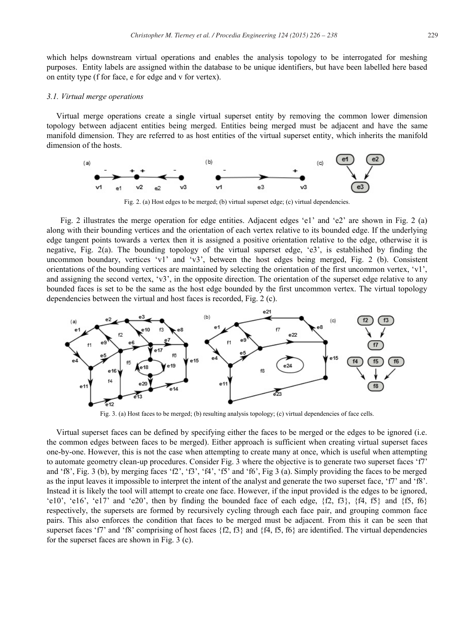which helps downstream virtual operations and enables the analysis topology to be interrogated for meshing purposes. Entity labels are assigned within the database to be unique identifiers, but have been labelled here based on entity type (f for face, e for edge and v for vertex).

### *3.1. Virtual merge operations*

Virtual merge operations create a single virtual superset entity by removing the common lower dimension topology between adjacent entities being merged. Entities being merged must be adjacent and have the same manifold dimension. They are referred to as host entities of the virtual superset entity, which inherits the manifold dimension of the hosts.



Fig. 2. (a) Host edges to be merged; (b) virtual superset edge; (c) virtual dependencies.

 Fig. 2 illustrates the merge operation for edge entities. Adjacent edges 'e1' and 'e2' are shown in Fig. 2 (a) along with their bounding vertices and the orientation of each vertex relative to its bounded edge. If the underlying edge tangent points towards a vertex then it is assigned a positive orientation relative to the edge, otherwise it is negative, Fig. 2(a). The bounding topology of the virtual superset edge, 'e3', is established by finding the uncommon boundary, vertices 'v1' and 'v3', between the host edges being merged, Fig. 2 (b). Consistent orientations of the bounding vertices are maintained by selecting the orientation of the first uncommon vertex, 'v1', and assigning the second vertex, 'v3', in the opposite direction. The orientation of the superset edge relative to any bounded faces is set to be the same as the host edge bounded by the first uncommon vertex. The virtual topology dependencies between the virtual and host faces is recorded, Fig. 2 (c).



Fig. 3. (a) Host faces to be merged; (b) resulting analysis topology; (c) virtual dependencies of face cells.

Virtual superset faces can be defined by specifying either the faces to be merged or the edges to be ignored (i.e. the common edges between faces to be merged). Either approach is sufficient when creating virtual superset faces one-by-one. However, this is not the case when attempting to create many at once, which is useful when attempting to automate geometry clean-up procedures. Consider Fig. 3 where the objective is to generate two superset faces 'f7' and 'f8', Fig. 3 (b), by merging faces 'f2', 'f3', 'f4', 'f5' and 'f6', Fig 3 (a). Simply providing the faces to be merged as the input leaves it impossible to interpret the intent of the analyst and generate the two superset face, 'f7' and 'f8'. Instead it is likely the tool will attempt to create one face. However, if the input provided is the edges to be ignored, 'e10', 'e16', 'e17' and 'e20', then by finding the bounded face of each edge,  $\{f2, f3\}$ ,  $\{f4, f5\}$  and  $\{f5, f6\}$ respectively, the supersets are formed by recursively cycling through each face pair, and grouping common face pairs. This also enforces the condition that faces to be merged must be adjacent. From this it can be seen that superset faces 'f7' and 'f8' comprising of host faces  $\{f2, f3\}$  and  $\{f4, f5, f6\}$  are identified. The virtual dependencies for the superset faces are shown in Fig. 3 (c).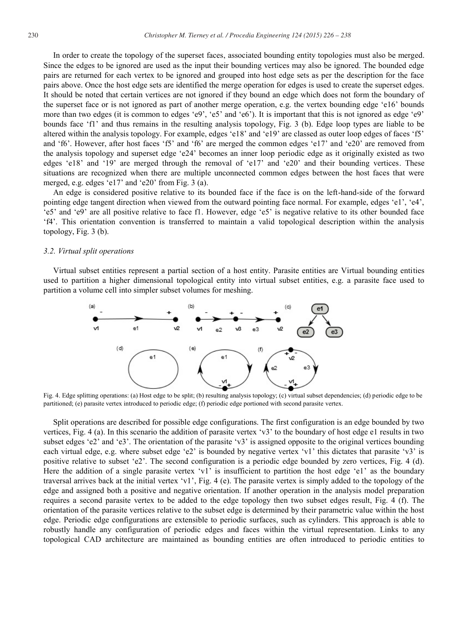In order to create the topology of the superset faces, associated bounding entity topologies must also be merged. Since the edges to be ignored are used as the input their bounding vertices may also be ignored. The bounded edge pairs are returned for each vertex to be ignored and grouped into host edge sets as per the description for the face pairs above. Once the host edge sets are identified the merge operation for edges is used to create the superset edges. It should be noted that certain vertices are not ignored if they bound an edge which does not form the boundary of the superset face or is not ignored as part of another merge operation, e.g. the vertex bounding edge 'e16' bounds more than two edges (it is common to edges 'e9', 'e5' and 'e6'). It is important that this is not ignored as edge 'e9' bounds face 'f1' and thus remains in the resulting analysis topology, Fig. 3 (b). Edge loop types are liable to be altered within the analysis topology. For example, edges 'e18' and 'e19' are classed as outer loop edges of faces 'f5' and 'f6'. However, after host faces 'f5' and 'f6' are merged the common edges 'e17' and 'e20' are removed from the analysis topology and superset edge 'e24' becomes an inner loop periodic edge as it originally existed as two edges 'e18' and '19' are merged through the removal of 'e17' and 'e20' and their bounding vertices. These situations are recognized when there are multiple unconnected common edges between the host faces that were merged, e.g. edges 'e17' and 'e20' from Fig. 3 (a).

An edge is considered positive relative to its bounded face if the face is on the left-hand-side of the forward pointing edge tangent direction when viewed from the outward pointing face normal. For example, edges 'e1', 'e4', 'e5' and 'e9' are all positive relative to face f1. However, edge 'e5' is negative relative to its other bounded face 'f4'. This orientation convention is transferred to maintain a valid topological description within the analysis topology, Fig. 3 (b).

# *3.2. Virtual split operations*

Virtual subset entities represent a partial section of a host entity. Parasite entities are Virtual bounding entities used to partition a higher dimensional topological entity into virtual subset entities, e.g. a parasite face used to partition a volume cell into simpler subset volumes for meshing.



Fig. 4. Edge splitting operations: (a) Host edge to be split; (b) resulting analysis topology; (c) virtual subset dependencies; (d) periodic edge to be partitioned; (e) parasite vertex introduced to periodic edge; (f) periodic edge portioned with second parasite vertex.

Split operations are described for possible edge configurations. The first configuration is an edge bounded by two vertices, Fig. 4 (a). In this scenario the addition of parasite vertex 'v3' to the boundary of host edge e1 results in two subset edges 'e2' and 'e3'. The orientation of the parasite 'v3' is assigned opposite to the original vertices bounding each virtual edge, e.g. where subset edge 'e2' is bounded by negative vertex 'v1' this dictates that parasite 'v3' is positive relative to subset 'e2'. The second configuration is a periodic edge bounded by zero vertices, Fig. 4 (d). Here the addition of a single parasite vertex 'v1' is insufficient to partition the host edge 'e1' as the boundary traversal arrives back at the initial vertex 'v1', Fig. 4 (e). The parasite vertex is simply added to the topology of the edge and assigned both a positive and negative orientation. If another operation in the analysis model preparation requires a second parasite vertex to be added to the edge topology then two subset edges result, Fig. 4 (f). The orientation of the parasite vertices relative to the subset edge is determined by their parametric value within the host edge. Periodic edge configurations are extensible to periodic surfaces, such as cylinders. This approach is able to robustly handle any configuration of periodic edges and faces within the virtual representation. Links to any topological CAD architecture are maintained as bounding entities are often introduced to periodic entities to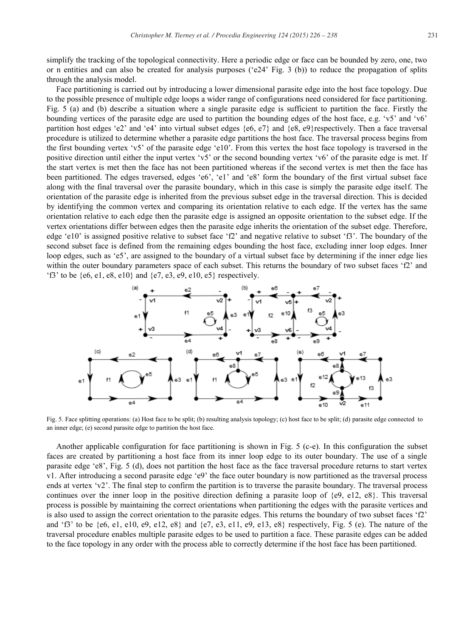simplify the tracking of the topological connectivity. Here a periodic edge or face can be bounded by zero, one, two or n entities and can also be created for analysis purposes ('e24' Fig. 3 (b)) to reduce the propagation of splits through the analysis model.

Face partitioning is carried out by introducing a lower dimensional parasite edge into the host face topology. Due to the possible presence of multiple edge loops a wider range of configurations need considered for face partitioning. Fig. 5 (a) and (b) describe a situation where a single parasite edge is sufficient to partition the face. Firstly the bounding vertices of the parasite edge are used to partition the bounding edges of the host face, e.g. 'v5' and 'v6' partition host edges 'e2' and 'e4' into virtual subset edges  $\{e6, e7\}$  and  $\{e8, e9\}$ respectively. Then a face traversal procedure is utilized to determine whether a parasite edge partitions the host face. The traversal process begins from the first bounding vertex 'v5' of the parasite edge 'e10'. From this vertex the host face topology is traversed in the positive direction until either the input vertex 'v5' or the second bounding vertex 'v6' of the parasite edge is met. If the start vertex is met then the face has not been partitioned whereas if the second vertex is met then the face has been partitioned. The edges traversed, edges 'e6', 'e1' and 'e8' form the boundary of the first virtual subset face along with the final traversal over the parasite boundary, which in this case is simply the parasite edge itself. The orientation of the parasite edge is inherited from the previous subset edge in the traversal direction. This is decided by identifying the common vertex and comparing its orientation relative to each edge. If the vertex has the same orientation relative to each edge then the parasite edge is assigned an opposite orientation to the subset edge. If the vertex orientations differ between edges then the parasite edge inherits the orientation of the subset edge. Therefore, edge 'e10' is assigned positive relative to subset face 'f2' and negative relative to subset 'f3'. The boundary of the second subset face is defined from the remaining edges bounding the host face, excluding inner loop edges. Inner loop edges, such as 'e5', are assigned to the boundary of a virtual subset face by determining if the inner edge lies within the outer boundary parameters space of each subset. This returns the boundary of two subset faces 'f2' and 'f3' to be  $\{e6, e1, e8, e10\}$  and  $\{e7, e3, e9, e10, e5\}$  respectively.



Fig. 5. Face splitting operations: (a) Host face to be split; (b) resulting analysis topology; (c) host face to be split; (d) parasite edge connected to an inner edge; (e) second parasite edge to partition the host face.

Another applicable configuration for face partitioning is shown in Fig. 5 (c-e). In this configuration the subset faces are created by partitioning a host face from its inner loop edge to its outer boundary. The use of a single parasite edge 'e8', Fig. 5 (d), does not partition the host face as the face traversal procedure returns to start vertex v1. After introducing a second parasite edge 'e9' the face outer boundary is now partitioned as the traversal process ends at vertex 'v2'. The final step to confirm the partition is to traverse the parasite boundary. The traversal process continues over the inner loop in the positive direction defining a parasite loop of  $\{e9, e12, e8\}$ . This traversal process is possible by maintaining the correct orientations when partitioning the edges with the parasite vertices and is also used to assign the correct orientation to the parasite edges. This returns the boundary of two subset faces 'f2' and 'f3' to be  $\{e6, e1, e10, e9, e12, e8\}$  and  $\{e7, e3, e11, e9, e13, e8\}$  respectively, Fig. 5 (e). The nature of the traversal procedure enables multiple parasite edges to be used to partition a face. These parasite edges can be added to the face topology in any order with the process able to correctly determine if the host face has been partitioned.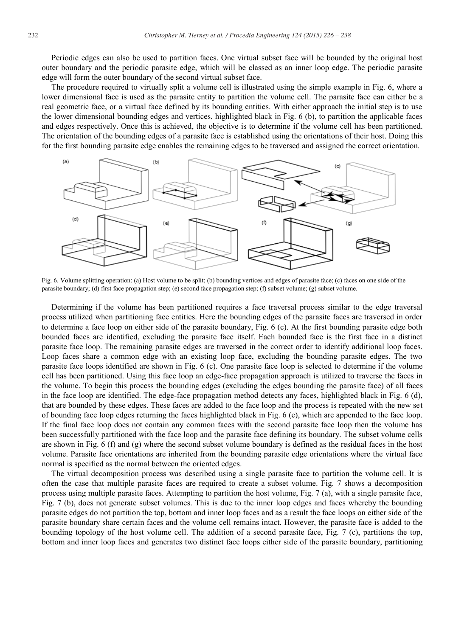Periodic edges can also be used to partition faces. One virtual subset face will be bounded by the original host outer boundary and the periodic parasite edge, which will be classed as an inner loop edge. The periodic parasite edge will form the outer boundary of the second virtual subset face.

The procedure required to virtually split a volume cell is illustrated using the simple example in Fig. 6, where a lower dimensional face is used as the parasite entity to partition the volume cell. The parasite face can either be a real geometric face, or a virtual face defined by its bounding entities. With either approach the initial step is to use the lower dimensional bounding edges and vertices, highlighted black in Fig. 6 (b), to partition the applicable faces and edges respectively. Once this is achieved, the objective is to determine if the volume cell has been partitioned. The orientation of the bounding edges of a parasite face is established using the orientations of their host. Doing this for the first bounding parasite edge enables the remaining edges to be traversed and assigned the correct orientation.



Fig. 6. Volume splitting operation: (a) Host volume to be split; (b) bounding vertices and edges of parasite face; (c) faces on one side of the parasite boundary; (d) first face propagation step; (e) second face propagation step; (f) subset volume; (g) subset volume.

Determining if the volume has been partitioned requires a face traversal process similar to the edge traversal process utilized when partitioning face entities. Here the bounding edges of the parasite faces are traversed in order to determine a face loop on either side of the parasite boundary, Fig. 6 (c). At the first bounding parasite edge both bounded faces are identified, excluding the parasite face itself. Each bounded face is the first face in a distinct parasite face loop. The remaining parasite edges are traversed in the correct order to identify additional loop faces. Loop faces share a common edge with an existing loop face, excluding the bounding parasite edges. The two parasite face loops identified are shown in Fig. 6 (c). One parasite face loop is selected to determine if the volume cell has been partitioned. Using this face loop an edge-face propagation approach is utilized to traverse the faces in the volume. To begin this process the bounding edges (excluding the edges bounding the parasite face) of all faces in the face loop are identified. The edge-face propagation method detects any faces, highlighted black in Fig. 6 (d), that are bounded by these edges. These faces are added to the face loop and the process is repeated with the new set of bounding face loop edges returning the faces highlighted black in Fig. 6 (e), which are appended to the face loop. If the final face loop does not contain any common faces with the second parasite face loop then the volume has been successfully partitioned with the face loop and the parasite face defining its boundary. The subset volume cells are shown in Fig. 6 (f) and (g) where the second subset volume boundary is defined as the residual faces in the host volume. Parasite face orientations are inherited from the bounding parasite edge orientations where the virtual face normal is specified as the normal between the oriented edges.

The virtual decomposition process was described using a single parasite face to partition the volume cell. It is often the case that multiple parasite faces are required to create a subset volume. Fig. 7 shows a decomposition process using multiple parasite faces. Attempting to partition the host volume, Fig. 7 (a), with a single parasite face, Fig. 7 (b), does not generate subset volumes. This is due to the inner loop edges and faces whereby the bounding parasite edges do not partition the top, bottom and inner loop faces and as a result the face loops on either side of the parasite boundary share certain faces and the volume cell remains intact. However, the parasite face is added to the bounding topology of the host volume cell. The addition of a second parasite face, Fig. 7 (c), partitions the top, bottom and inner loop faces and generates two distinct face loops either side of the parasite boundary, partitioning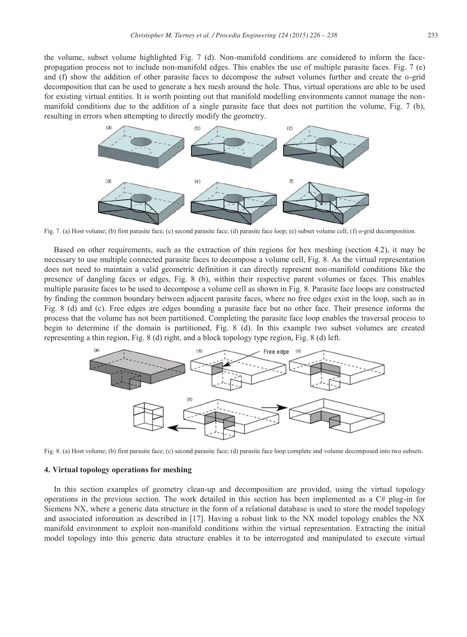the volume, subset volume highlighted Fig. 7 (d). Non-manifold conditions are considered to inform the facepropagation process not to include non-manifold edges. This enables the use of multiple parasite faces. Fig. 7 (e) and (f) show the addition of other parasite faces to decompose the subset volumes further and create the o-grid decomposition that can be used to generate a hex mesh around the hole. Thus, virtual operations are able to be used for existing virtual entities. It is worth pointing out that manifold modelling environments cannot manage the non-

manifold conditions due to the addition of a single parasite face that does not partition the volume, Fig. 7 (b), resulting in errors when attempting to directly modify the geometry.



Fig. 7. (a) Host volume; (b) first parasite face; (c) second parasite face; (d) parasite face loop; (e) subset volume cell; (f) o-grid decomposition.

Based on other requirements, such as the extraction of thin regions for hex meshing (section 4.2), it may be necessary to use multiple connected parasite faces to decompose a volume cell, Fig. 8. As the virtual representation does not need to maintain a valid geometric definition it can directly represent non-manifold conditions like the presence of dangling faces or edges, Fig. 8 (b), within their respective parent volumes or faces. This enables multiple parasite faces to be used to decompose a volume cell as shown in Fig. 8. Parasite face loops are constructed by finding the common boundary between adjacent parasite faces, where no free edges exist in the loop, such as in Fig. 8 (d) and (c). Free edges are edges bounding a parasite face but no other face. Their presence informs the process that the volume has not been partitioned. Completing the parasite face loop enables the traversal process to begin to determine if the domain is partitioned, Fig. 8 (d). In this example two subset volumes are created representing a thin region, Fig. 8 (d) right, and a block topology type region, Fig. 8 (d) left.



Fig. 8. (a) Host volume; (b) first parasite face; (c) second parasite face; (d) parasite face loop complete and volume decomposed into two subsets.

#### **4. Virtual topology operations for meshing**

In this section examples of geometry clean-up and decomposition are provided, using the virtual topology operations in the previous section. The work detailed in this section has been implemented as a  $C#$  plug-in for Siemens NX, where a generic data structure in the form of a relational database is used to store the model topology and associated information as described in [17]. Having a robust link to the NX model topology enables the NX manifold environment to exploit non-manifold conditions within the virtual representation. Extracting the initial model topology into this generic data structure enables it to be interrogated and manipulated to execute virtual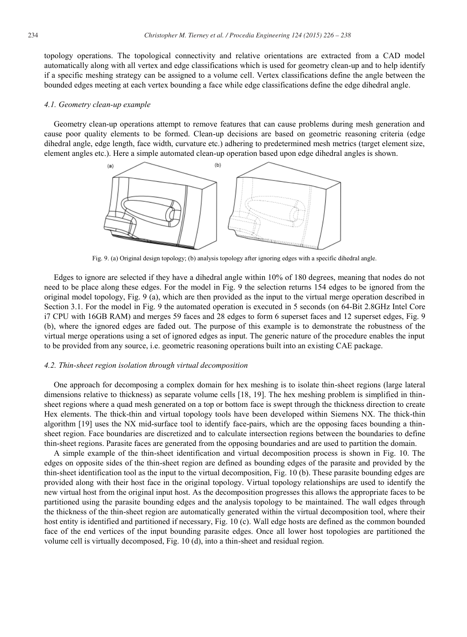topology operations. The topological connectivity and relative orientations are extracted from a CAD model automatically along with all vertex and edge classifications which is used for geometry clean-up and to help identify if a specific meshing strategy can be assigned to a volume cell. Vertex classifications define the angle between the bounded edges meeting at each vertex bounding a face while edge classifications define the edge dihedral angle.

#### *4.1. Geometry clean-up example*

Geometry clean-up operations attempt to remove features that can cause problems during mesh generation and cause poor quality elements to be formed. Clean-up decisions are based on geometric reasoning criteria (edge dihedral angle, edge length, face width, curvature etc.) adhering to predetermined mesh metrics (target element size, element angles etc.). Here a simple automated clean-up operation based upon edge dihedral angles is shown.



Fig. 9. (a) Original design topology; (b) analysis topology after ignoring edges with a specific dihedral angle.

Edges to ignore are selected if they have a dihedral angle within 10% of 180 degrees, meaning that nodes do not need to be place along these edges. For the model in Fig. 9 the selection returns 154 edges to be ignored from the original model topology, Fig. 9 (a), which are then provided as the input to the virtual merge operation described in Section 3.1. For the model in Fig. 9 the automated operation is executed in 5 seconds (on 64-Bit 2.8GHz Intel Core i7 CPU with 16GB RAM) and merges 59 faces and 28 edges to form 6 superset faces and 12 superset edges, Fig. 9 (b), where the ignored edges are faded out. The purpose of this example is to demonstrate the robustness of the virtual merge operations using a set of ignored edges as input. The generic nature of the procedure enables the input to be provided from any source, i.e. geometric reasoning operations built into an existing CAE package.

#### *4.2. Thin-sheet region isolation through virtual decomposition*

One approach for decomposing a complex domain for hex meshing is to isolate thin-sheet regions (large lateral dimensions relative to thickness) as separate volume cells [18, 19]. The hex meshing problem is simplified in thinsheet regions where a quad mesh generated on a top or bottom face is swept through the thickness direction to create Hex elements. The thick-thin and virtual topology tools have been developed within Siemens NX. The thick-thin algorithm [19] uses the NX mid-surface tool to identify face-pairs, which are the opposing faces bounding a thinsheet region. Face boundaries are discretized and to calculate intersection regions between the boundaries to define thin-sheet regions. Parasite faces are generated from the opposing boundaries and are used to partition the domain.

A simple example of the thin-sheet identification and virtual decomposition process is shown in Fig. 10. The edges on opposite sides of the thin-sheet region are defined as bounding edges of the parasite and provided by the thin-sheet identification tool as the input to the virtual decomposition, Fig. 10 (b). These parasite bounding edges are provided along with their host face in the original topology. Virtual topology relationships are used to identify the new virtual host from the original input host. As the decomposition progresses this allows the appropriate faces to be partitioned using the parasite bounding edges and the analysis topology to be maintained. The wall edges through the thickness of the thin-sheet region are automatically generated within the virtual decomposition tool, where their host entity is identified and partitioned if necessary, Fig. 10 (c). Wall edge hosts are defined as the common bounded face of the end vertices of the input bounding parasite edges. Once all lower host topologies are partitioned the volume cell is virtually decomposed, Fig. 10 (d), into a thin-sheet and residual region.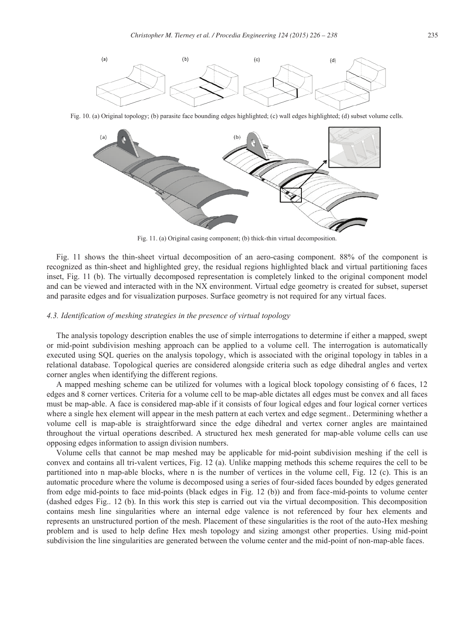

Fig. 10. (a) Original topology; (b) parasite face bounding edges highlighted; (c) wall edges highlighted; (d) subset volume cells.



Fig. 11. (a) Original casing component; (b) thick-thin virtual decomposition.

Fig. 11 shows the thin-sheet virtual decomposition of an aero-casing component. 88% of the component is recognized as thin-sheet and highlighted grey, the residual regions highlighted black and virtual partitioning faces inset, Fig. 11 (b). The virtually decomposed representation is completely linked to the original component model and can be viewed and interacted with in the NX environment. Virtual edge geometry is created for subset, superset and parasite edges and for visualization purposes. Surface geometry is not required for any virtual faces.

#### *4.3. Identification of meshing strategies in the presence of virtual topology*

The analysis topology description enables the use of simple interrogations to determine if either a mapped, swept or mid-point subdivision meshing approach can be applied to a volume cell. The interrogation is automatically executed using SQL queries on the analysis topology, which is associated with the original topology in tables in a relational database. Topological queries are considered alongside criteria such as edge dihedral angles and vertex corner angles when identifying the different regions.

A mapped meshing scheme can be utilized for volumes with a logical block topology consisting of 6 faces, 12 edges and 8 corner vertices. Criteria for a volume cell to be map-able dictates all edges must be convex and all faces must be map-able. A face is considered map-able if it consists of four logical edges and four logical corner vertices where a single hex element will appear in the mesh pattern at each vertex and edge segment.. Determining whether a volume cell is map-able is straightforward since the edge dihedral and vertex corner angles are maintained throughout the virtual operations described. A structured hex mesh generated for map-able volume cells can use opposing edges information to assign division numbers.

Volume cells that cannot be map meshed may be applicable for mid-point subdivision meshing if the cell is convex and contains all tri-valent vertices, Fig. 12 (a). Unlike mapping methods this scheme requires the cell to be partitioned into n map-able blocks, where n is the number of vertices in the volume cell, Fig. 12 (c). This is an automatic procedure where the volume is decomposed using a series of four-sided faces bounded by edges generated from edge mid-points to face mid-points (black edges in Fig. 12 (b)) and from face-mid-points to volume center (dashed edges Fig.. 12 (b). In this work this step is carried out via the virtual decomposition. This decomposition contains mesh line singularities where an internal edge valence is not referenced by four hex elements and represents an unstructured portion of the mesh. Placement of these singularities is the root of the auto-Hex meshing problem and is used to help define Hex mesh topology and sizing amongst other properties. Using mid-point subdivision the line singularities are generated between the volume center and the mid-point of non-map-able faces.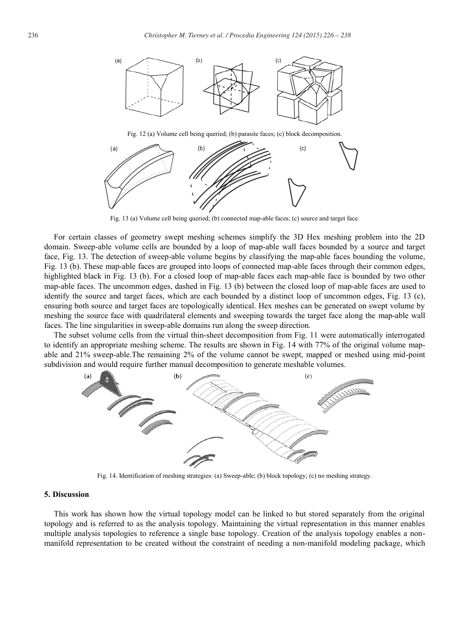

Fig. 13 (a) Volume cell being queried; (b) connected map-able faces; (c) source and target face.

For certain classes of geometry swept meshing schemes simplify the 3D Hex meshing problem into the 2D domain. Sweep-able volume cells are bounded by a loop of map-able wall faces bounded by a source and target face, Fig. 13. The detection of sweep-able volume begins by classifying the map-able faces bounding the volume, Fig. 13 (b). These map-able faces are grouped into loops of connected map-able faces through their common edges, highlighted black in Fig. 13 (b). For a closed loop of map-able faces each map-able face is bounded by two other map-able faces. The uncommon edges, dashed in Fig. 13 (b) between the closed loop of map-able faces are used to identify the source and target faces, which are each bounded by a distinct loop of uncommon edges, Fig. 13 (c), ensuring both source and target faces are topologically identical. Hex meshes can be generated on swept volume by meshing the source face with quadrilateral elements and sweeping towards the target face along the map-able wall faces. The line singularities in sweep-able domains run along the sweep direction.

The subset volume cells from the virtual thin-sheet decomposition from Fig. 11 were automatically interrogated to identify an appropriate meshing scheme. The results are shown in Fig. 14 with 77% of the original volume mapable and 21% sweep-able.The remaining 2% of the volume cannot be swept, mapped or meshed using mid-point subdivision and would require further manual decomposition to generate meshable volumes.



Fig. 14. Identification of meshing strategies: (a) Sweep-able; (b) block topology; (c) no meshing strategy.

#### **5. Discussion**

This work has shown how the virtual topology model can be linked to but stored separately from the original topology and is referred to as the analysis topology. Maintaining the virtual representation in this manner enables multiple analysis topologies to reference a single base topology. Creation of the analysis topology enables a nonmanifold representation to be created without the constraint of needing a non-manifold modeling package, which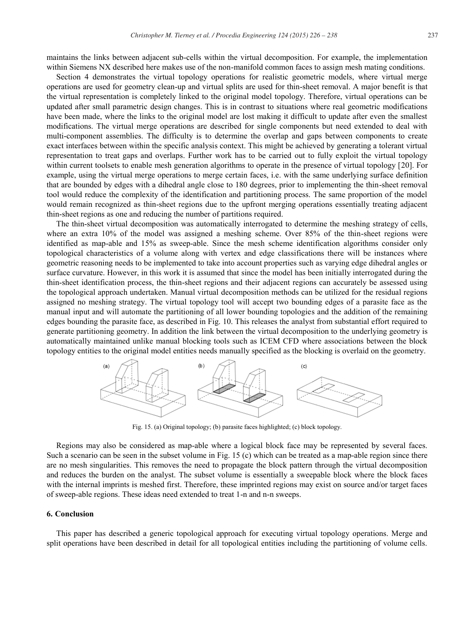maintains the links between adjacent sub-cells within the virtual decomposition. For example, the implementation within Siemens NX described here makes use of the non-manifold common faces to assign mesh mating conditions.

Section 4 demonstrates the virtual topology operations for realistic geometric models, where virtual merge operations are used for geometry clean-up and virtual splits are used for thin-sheet removal. A major benefit is that the virtual representation is completely linked to the original model topology. Therefore, virtual operations can be updated after small parametric design changes. This is in contrast to situations where real geometric modifications have been made, where the links to the original model are lost making it difficult to update after even the smallest modifications. The virtual merge operations are described for single components but need extended to deal with multi-component assemblies. The difficulty is to determine the overlap and gaps between components to create exact interfaces between within the specific analysis context. This might be achieved by generating a tolerant virtual representation to treat gaps and overlaps. Further work has to be carried out to fully exploit the virtual topology within current toolsets to enable mesh generation algorithms to operate in the presence of virtual topology [20]. For example, using the virtual merge operations to merge certain faces, i.e. with the same underlying surface definition that are bounded by edges with a dihedral angle close to 180 degrees, prior to implementing the thin-sheet removal tool would reduce the complexity of the identification and partitioning process. The same proportion of the model would remain recognized as thin-sheet regions due to the upfront merging operations essentially treating adjacent thin-sheet regions as one and reducing the number of partitions required.

The thin-sheet virtual decomposition was automatically interrogated to determine the meshing strategy of cells, where an extra 10% of the model was assigned a meshing scheme. Over 85% of the thin-sheet regions were identified as map-able and 15% as sweep-able. Since the mesh scheme identification algorithms consider only topological characteristics of a volume along with vertex and edge classifications there will be instances where geometric reasoning needs to be implemented to take into account properties such as varying edge dihedral angles or surface curvature. However, in this work it is assumed that since the model has been initially interrogated during the thin-sheet identification process, the thin-sheet regions and their adjacent regions can accurately be assessed using the topological approach undertaken. Manual virtual decomposition methods can be utilized for the residual regions assigned no meshing strategy. The virtual topology tool will accept two bounding edges of a parasite face as the manual input and will automate the partitioning of all lower bounding topologies and the addition of the remaining edges bounding the parasite face, as described in Fig. 10. This releases the analyst from substantial effort required to generate partitioning geometry. In addition the link between the virtual decomposition to the underlying geometry is automatically maintained unlike manual blocking tools such as ICEM CFD where associations between the block topology entities to the original model entities needs manually specified as the blocking is overlaid on the geometry.



Fig. 15. (a) Original topology; (b) parasite faces highlighted; (c) block topology.

Regions may also be considered as map-able where a logical block face may be represented by several faces. Such a scenario can be seen in the subset volume in Fig. 15 (c) which can be treated as a map-able region since there are no mesh singularities. This removes the need to propagate the block pattern through the virtual decomposition and reduces the burden on the analyst. The subset volume is essentially a sweepable block where the block faces with the internal imprints is meshed first. Therefore, these imprinted regions may exist on source and/or target faces of sweep-able regions. These ideas need extended to treat 1-n and n-n sweeps.

# **6. Conclusion**

This paper has described a generic topological approach for executing virtual topology operations. Merge and split operations have been described in detail for all topological entities including the partitioning of volume cells.